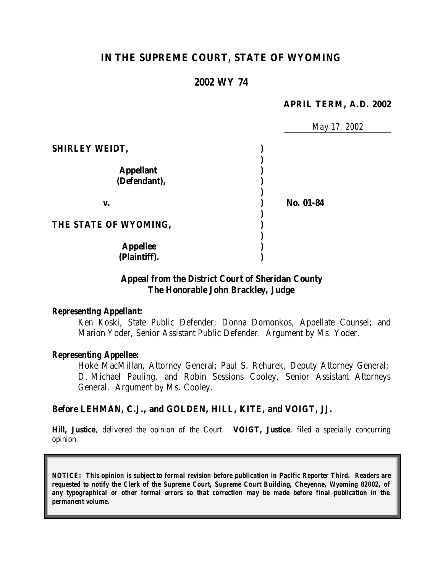# **IN THE SUPREME COURT, STATE OF WYOMING**

### **2002 WY 74**

#### **APRIL TERM, A.D. 2002**

|                                  | May 17, 2002 |
|----------------------------------|--------------|
| <b>SHIRLEY WEIDT,</b>            |              |
| <b>Appellant</b><br>(Defendant), |              |
| V.                               | No. 01-84    |
| THE STATE OF WYOMING,            |              |
| <b>Appellee</b>                  |              |
| (Plaintiff).                     |              |

## **Appeal from the District Court of Sheridan County The Honorable John Brackley, Judge**

#### *Representing Appellant:*

Ken Koski, State Public Defender; Donna Domonkos, Appellate Counsel; and Marion Yoder, Senior Assistant Public Defender. Argument by Ms. Yoder.

#### *Representing Appellee:*

Hoke MacMillan, Attorney General; Paul S. Rehurek, Deputy Attorney General; D. Michael Pauling, and Robin Sessions Cooley, Senior Assistant Attorneys General. Argument by Ms. Cooley.

#### **Before LEHMAN, C.J., and GOLDEN, HILL, KITE, and VOIGT, JJ.**

**Hill, Justice**, delivered the opinion of the Court. **VOIGT, Justice**, filed a specially concurring opinion.

*NOTICE: This opinion is subject to formal revision before publication in Pacific Reporter Third. Readers are requested to notify the Clerk of the Supreme Court, Supreme Court Building, Cheyenne, Wyoming 82002, of any typographical or other formal errors so that correction may be made before final publication in the permanent volume.*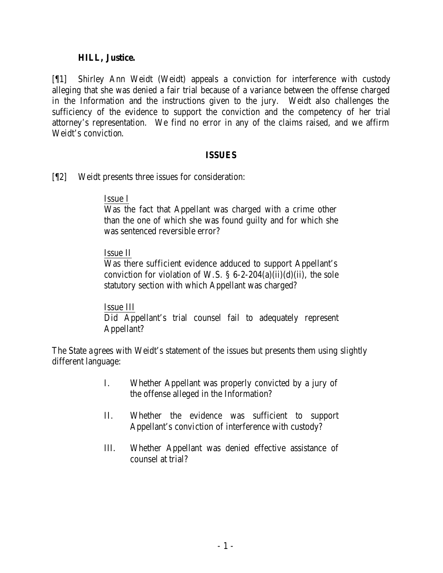### **HILL, Justice.**

[¶1] Shirley Ann Weidt (Weidt) appeals a conviction for interference with custody alleging that she was denied a fair trial because of a variance between the offense charged in the Information and the instructions given to the jury. Weidt also challenges the sufficiency of the evidence to support the conviction and the competency of her trial attorney's representation. We find no error in any of the claims raised, and we affirm Weidt's conviction.

### **ISSUES**

[¶2] Weidt presents three issues for consideration:

## Issue I

Was the fact that Appellant was charged with a crime other than the one of which she was found guilty and for which she was sentenced reversible error?

# Issue II

Was there sufficient evidence adduced to support Appellant's conviction for violation of W.S.  $\S 6$ -2-204(a)(ii)(d)(ii), the sole statutory section with which Appellant was charged?

Issue III Did Appellant's trial counsel fail to adequately represent Appellant?

The State agrees with Weidt's statement of the issues but presents them using slightly different language:

- I. Whether Appellant was properly convicted by a jury of the offense alleged in the Information?
- II. Whether the evidence was sufficient to support Appellant's conviction of interference with custody?
- III. Whether Appellant was denied effective assistance of counsel at trial?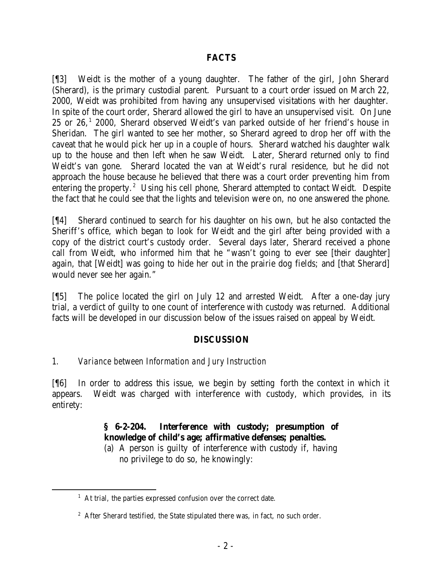## **FACTS**

[¶3] Weidt is the mother of a young daughter. The father of the girl, John Sherard (Sherard), is the primary custodial parent. Pursuant to a court order issued on March 22, 2000, Weidt was prohibited from having any unsupervised visitations with her daughter. In spite of the court order, Sherard allowed the girl to have an unsupervised visit. On June  $25$  or  $26$ ,<sup>1</sup> 2000, Sherard observed Weidt's van parked outside of her friend's house in Sheridan. The girl wanted to see her mother, so Sherard agreed to drop her off with the caveat that he would pick her up in a couple of hours. Sherard watched his daughter walk up to the house and then left when he saw Weidt. Later, Sherard returned only to find Weidt's van gone. Sherard located the van at Weidt's rural residence, but he did not approach the house because he believed that there was a court order preventing him from entering the property.<sup>2</sup> Using his cell phone, Sherard attempted to contact Weidt. Despite the fact that he could see that the lights and television were on, no one answered the phone.

[¶4] Sherard continued to search for his daughter on his own, but he also contacted the Sheriff's office, which began to look for Weidt and the girl after being provided with a copy of the district court's custody order. Several days later, Sherard received a phone call from Weidt, who informed him that he "wasn't going to ever see [their daughter] again, that [Weidt] was going to hide her out in the prairie dog fields; and [that Sherard] would never see her again."

[¶5] The police located the girl on July 12 and arrested Weidt. After a one-day jury trial, a verdict of guilty to one count of interference with custody was returned. Additional facts will be developed in our discussion below of the issues raised on appeal by Weidt.

# **DISCUSSION**

# *1. Variance between Information and Jury Instruction*

[¶6] In order to address this issue, we begin by setting forth the context in which it appears. Weidt was charged with interference with custody, which provides, in its entirety:

# **§ 6-2-204. Interference with custody; presumption of knowledge of child's age; affirmative defenses; penalties.**

(a) A person is guilty of interference with custody if, having no privilege to do so, he knowingly:

<sup>&</sup>lt;sup>1</sup> At trial, the parties expressed confusion over the correct date.

 $2$  After Sherard testified, the State stipulated there was, in fact, no such order.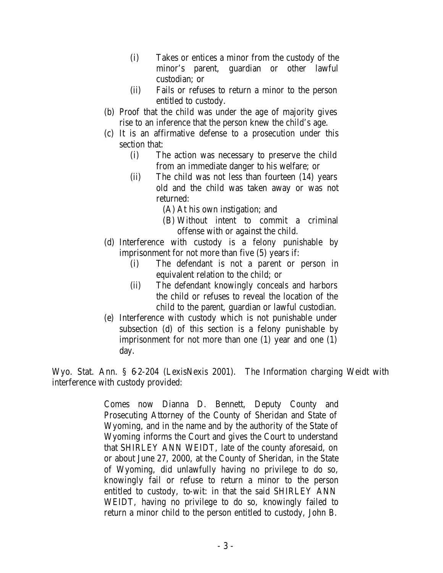- (i) Takes or entices a minor from the custody of the minor's parent, guardian or other lawful custodian; or
- (ii) Fails or refuses to return a minor to the person entitled to custody.
- (b) Proof that the child was under the age of majority gives rise to an inference that the person knew the child's age.
- (c) It is an affirmative defense to a prosecution under this section that:
	- (i) The action was necessary to preserve the child from an immediate danger to his welfare; or
	- (ii) The child was not less than fourteen (14) years old and the child was taken away or was not returned:
		- (A) At his own instigation; and
		- (B) Without intent to commit a criminal offense with or against the child.
- (d) Interference with custody is a felony punishable by imprisonment for not more than five (5) years if:
	- (i) The defendant is not a parent or person in equivalent relation to the child; or
	- (ii) The defendant knowingly conceals and harbors the child or refuses to reveal the location of the child to the parent, guardian or lawful custodian.
- (e) Interference with custody which is not punishable under subsection (d) of this section is a felony punishable by imprisonment for not more than one (1) year and one (1) day.

Wyo. Stat. Ann. § 6-2-204 (LexisNexis 2001). The Information charging Weidt with interference with custody provided:

> Comes now Dianna D. Bennett, Deputy County and Prosecuting Attorney of the County of Sheridan and State of Wyoming, and in the name and by the authority of the State of Wyoming informs the Court and gives the Court to understand that SHIRLEY ANN WEIDT, late of the county aforesaid, on or about June 27, 2000, at the County of Sheridan, in the State of Wyoming, did unlawfully having no privilege to do so, knowingly fail or refuse to return a minor to the person entitled to custody, to-wit: in that the said SHIRLEY ANN WEIDT, having no privilege to do so, knowingly failed to return a minor child to the person entitled to custody, John B.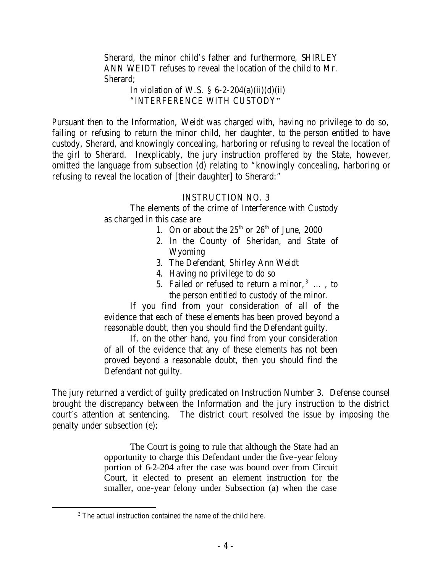Sherard, the minor child's father and furthermore, SHIRLEY ANN WEIDT refuses to reveal the location of the child to Mr. Sherard;

> In violation of W.S.  $\S$  6-2-204(a)(ii)(d)(ii) "INTERFERENCE WITH CUSTODY"

Pursuant then to the Information, Weidt was charged with, having no privilege to do so, failing or refusing to return the minor child, her daughter, to the person entitled to have custody, Sherard, and knowingly concealing, harboring or refusing to reveal the location of the girl to Sherard. Inexplicably, the jury instruction proffered by the State, however, omitted the language from subsection (d) relating to "knowingly concealing, harboring or refusing to reveal the location of [their daughter] to Sherard:"

# INSTRUCTION NO. 3

The elements of the crime of Interference with Custody as charged in this case are

- 1. On or about the  $25<sup>th</sup>$  or  $26<sup>th</sup>$  of June, 2000
- 2. In the County of Sheridan, and State of Wyoming
- 3. The Defendant, Shirley Ann Weidt
- 4. Having no privilege to do so
- 5. Failed or refused to return a minor,  $3 \ldots$ , to the person entitled to custody of the minor.

If you find from your consideration of all of the evidence that each of these elements has been proved beyond a reasonable doubt, then you should find the Defendant guilty.

If, on the other hand, you find from your consideration of all of the evidence that any of these elements has not been proved beyond a reasonable doubt, then you should find the Defendant not guilty.

The jury returned a verdict of guilty predicated on Instruction Number 3. Defense counsel brought the discrepancy between the Information and the jury instruction to the district court's attention at sentencing. The district court resolved the issue by imposing the penalty under subsection (e):

> The Court is going to rule that although the State had an opportunity to charge this Defendant under the five-year felony portion of 6-2-204 after the case was bound over from Circuit Court, it elected to present an element instruction for the smaller, one-year felony under Subsection (a) when the case

<sup>&</sup>lt;sup>3</sup> The actual instruction contained the name of the child here.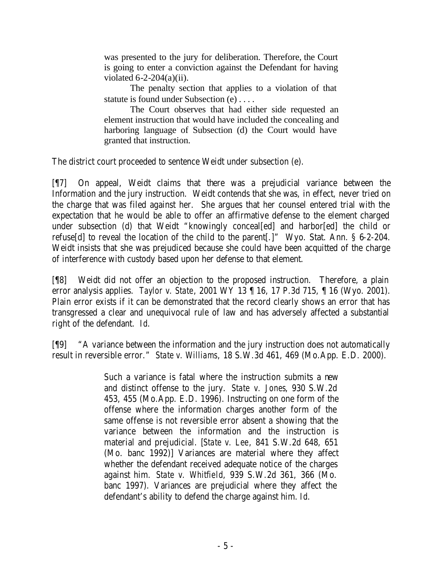was presented to the jury for deliberation. Therefore, the Court is going to enter a conviction against the Defendant for having violated  $6-2-204(a)(ii)$ .

The penalty section that applies to a violation of that statute is found under Subsection (e) . . . .

The Court observes that had either side requested an element instruction that would have included the concealing and harboring language of Subsection (d) the Court would have granted that instruction.

The district court proceeded to sentence Weidt under subsection (e).

[¶7] On appeal, Weidt claims that there was a prejudicial variance between the Information and the jury instruction. Weidt contends that she was, in effect, never tried on the charge that was filed against her. She argues that her counsel entered trial with the expectation that he would be able to offer an affirmative defense to the element charged under subsection (d) that Weidt "knowingly conceal[ed] and harbor[ed] the child or refuse[d] to reveal the location of the child to the parent[.]" Wyo. Stat. Ann. § 6-2-204. Weidt insists that she was prejudiced because she could have been acquitted of the charge of interference with custody based upon her defense to that element.

[¶8] Weidt did not offer an objection to the proposed instruction. Therefore, a plain error analysis applies. *Taylor v. State*, 2001 WY 13 ¶ 16, 17 P.3d 715, ¶ 16 (Wyo. 2001). Plain error exists if it can be demonstrated that the record clearly shows an error that has transgressed a clear and unequivocal rule of law and has adversely affected a substantial right of the defendant. *Id*.

[¶9] "A variance between the information and the jury instruction does not automatically result in reversible error." *State v. Williams*, 18 S.W.3d 461, 469 (Mo.App. E.D. 2000).

> Such a variance is fatal where the instruction submits a new and distinct offense to the jury. *State v. Jones*, 930 S.W.2d 453, 455 (Mo.App. E.D. 1996). Instructing on one form of the offense where the information charges another form of the same offense is not reversible error absent a showing that the variance between the information and the instruction is material and prejudicial. [*State v. Lee*, 841 S.W.2d 648, 651 (Mo. banc 1992)] Variances are material where they affect whether the defendant received adequate notice of the charges against him. *State v. Whitfield*, 939 S.W.2d 361, 366 (Mo. banc 1997). Variances are prejudicial where they affect the defendant's ability to defend the charge against him. *Id*.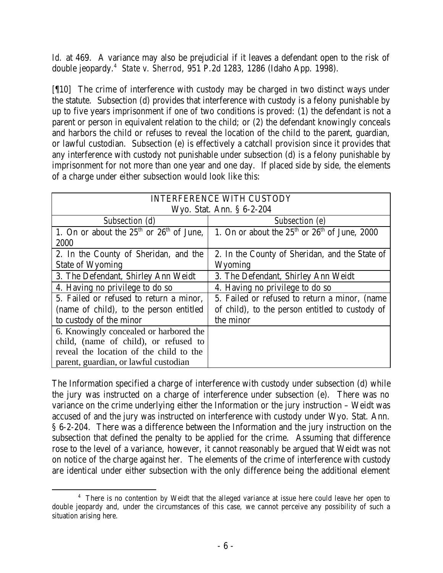*Id.* at 469. A variance may also be prejudicial if it leaves a defendant open to the risk of double jeopardy. 4 *State v. Sherrod*, 951 P.2d 1283, 1286 (Idaho App. 1998).

[¶10] The crime of interference with custody may be charged in two distinct ways under the statute. Subsection (d) provides that interference with custody is a felony punishable by up to five years imprisonment if one of two conditions is proved: (1) the defendant is not a parent or person in equivalent relation to the child; or (2) the defendant knowingly conceals and harbors the child or refuses to reveal the location of the child to the parent, guardian, or lawful custodian. Subsection (e) is effectively a catchall provision since it provides that any interference with custody not punishable under subsection (d) is a felony punishable by imprisonment for not more than one year and one day. If placed side by side, the elements of a charge under either subsection would look like this:

| <b>INTERFERENCE WITH CUSTODY</b>        |                                                                                                |
|-----------------------------------------|------------------------------------------------------------------------------------------------|
| Wyo. Stat. Ann. § 6-2-204               |                                                                                                |
| Subsection (d)                          | Subsection (e)                                                                                 |
|                                         | 1. On or about the $25th$ or $26th$ of June, 1. On or about the $25th$ or $26th$ of June, 2000 |
| 2000                                    |                                                                                                |
| 2. In the County of Sheridan, and the   | 2. In the County of Sheridan, and the State of                                                 |
| <b>State of Wyoming</b>                 | <b>Wyoming</b>                                                                                 |
| 3. The Defendant, Shirley Ann Weidt     | 3. The Defendant, Shirley Ann Weidt                                                            |
| 4. Having no privilege to do so         | 4. Having no privilege to do so                                                                |
| 5. Failed or refused to return a minor, | 5. Failed or refused to return a minor, (name                                                  |
| (name of child), to the person entitled | of child), to the person entitled to custody of                                                |
| to custody of the minor                 | the minor                                                                                      |
| 6. Knowingly concealed or harbored the  |                                                                                                |
| child, (name of child), or refused to   |                                                                                                |
| reveal the location of the child to the |                                                                                                |
| parent, guardian, or lawful custodian   |                                                                                                |

The Information specified a charge of interference with custody under subsection (d) while the jury was instructed on a charge of interference under subsection (e). There was no variance on the crime underlying either the Information or the jury instruction – Weidt was accused of and the jury was instructed on interference with custody under Wyo. Stat. Ann. § 6-2-204. There was a difference between the Information and the jury instruction on the subsection that defined the penalty to be applied for the crime. Assuming that difference rose to the level of a variance, however, it cannot reasonably be argued that Weidt was not on notice of the charge against her. The elements of the crime of interference with custody are identical under either subsection with the only difference being the additional element

 <sup>4</sup> There is no contention by Weidt that the alleged variance at issue here could leave her open to double jeopardy and, under the circumstances of this case, we cannot perceive any possibility of such a situation arising here.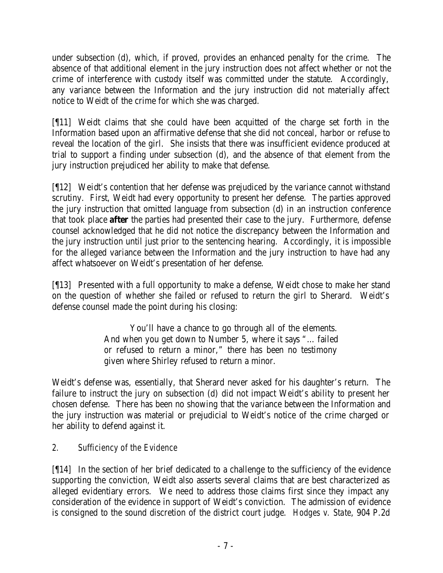under subsection (d), which, if proved, provides an enhanced penalty for the crime. The absence of that additional element in the jury instruction does not affect whether or not the crime of interference with custody itself was committed under the statute. Accordingly, any variance between the Information and the jury instruction did not materially affect notice to Weidt of the crime for which she was charged.

[¶11] Weidt claims that she could have been acquitted of the charge set forth in the Information based upon an affirmative defense that she did not conceal, harbor or refuse to reveal the location of the girl. She insists that there was insufficient evidence produced at trial to support a finding under subsection (d), and the absence of that element from the jury instruction prejudiced her ability to make that defense.

[¶12] Weidt's contention that her defense was prejudiced by the variance cannot withstand scrutiny. First, Weidt had every opportunity to present her defense. The parties approved the jury instruction that omitted language from subsection (d) in an instruction conference that took place **after** the parties had presented their case to the jury. Furthermore, defense counsel acknowledged that he did not notice the discrepancy between the Information and the jury instruction until just prior to the sentencing hearing. Accordingly, it is impossible for the alleged variance between the Information and the jury instruction to have had any affect whatsoever on Weidt's presentation of her defense.

[¶13] Presented with a full opportunity to make a defense, Weidt chose to make her stand on the question of whether she failed or refused to return the girl to Sherard. Weidt's defense counsel made the point during his closing:

> You'll have a chance to go through all of the elements. And when you get down to Number 5, where it says "… failed or refused to return a minor," there has been no testimony given where Shirley refused to return a minor.

Weidt's defense was, essentially, that Sherard never asked for his daughter's return. The failure to instruct the jury on subsection (d) did not impact Weidt's ability to present her chosen defense. There has been no showing that the variance between the Information and the jury instruction was material or prejudicial to Weidt's notice of the crime charged or her ability to defend against it.

# *2. Sufficiency of the Evidence*

[¶14] In the section of her brief dedicated to a challenge to the sufficiency of the evidence supporting the conviction, Weidt also asserts several claims that are best characterized as alleged evidentiary errors. We need to address those claims first since they impact any consideration of the evidence in support of Weidt's conviction. The admission of evidence is consigned to the sound discretion of the district court judge. *Hodges v. State*, 904 P.2d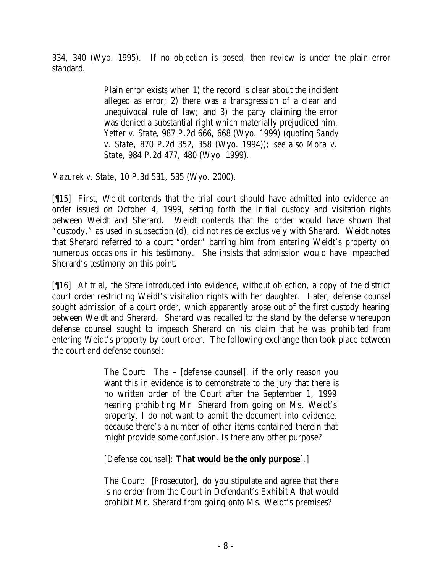334, 340 (Wyo. 1995). If no objection is posed, then review is under the plain error standard.

> Plain error exists when 1) the record is clear about the incident alleged as error; 2) there was a transgression of a clear and unequivocal rule of law; and 3) the party claiming the error was denied a substantial right which materially prejudiced him. *Yetter v. State*, 987 P.2d 666, 668 (Wyo. 1999) (quoting *Sandy v. State*, 870 P.2d 352, 358 (Wyo. 1994)); *see also Mora v. State*, 984 P.2d 477, 480 (Wyo. 1999).

*Mazurek v. State*, 10 P.3d 531, 535 (Wyo. 2000).

[¶15] First, Weidt contends that the trial court should have admitted into evidence an order issued on October 4, 1999, setting forth the initial custody and visitation rights between Weidt and Sherard. Weidt contends that the order would have shown that "custody," as used in subsection (d), did not reside exclusively with Sherard. Weidt notes that Sherard referred to a court "order" barring him from entering Weidt's property on numerous occasions in his testimony. She insists that admission would have impeached Sherard's testimony on this point.

[¶16] At trial, the State introduced into evidence, without objection, a copy of the district court order restricting Weidt's visitation rights with her daughter. Later, defense counsel sought admission of a court order, which apparently arose out of the first custody hearing between Weidt and Sherard. Sherard was recalled to the stand by the defense whereupon defense counsel sought to impeach Sherard on his claim that he was prohibited from entering Weidt's property by court order. The following exchange then took place between the court and defense counsel:

> The Court: The – [defense counsel], if the only reason you want this in evidence is to demonstrate to the jury that there is no written order of the Court after the September 1, 1999 hearing prohibiting Mr. Sherard from going on Ms. Weidt's property, I do not want to admit the document into evidence, because there's a number of other items contained therein that might provide some confusion. Is there any other purpose?

[Defense counsel]: **That would be the only purpose**[.]

The Court: [Prosecutor], do you stipulate and agree that there is no order from the Court in Defendant's Exhibit A that would prohibit Mr. Sherard from going onto Ms. Weidt's premises?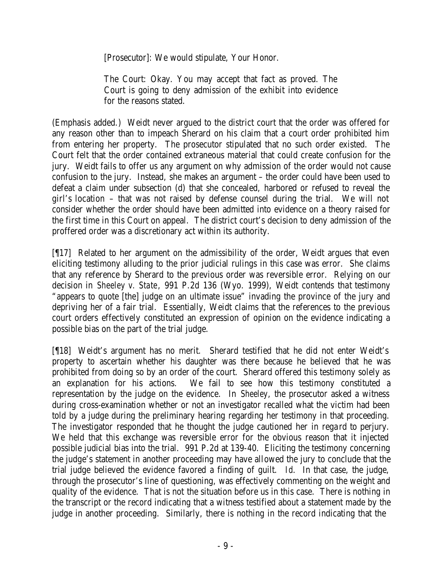[Prosecutor]: We would stipulate, Your Honor.

The Court: Okay. You may accept that fact as proved. The Court is going to deny admission of the exhibit into evidence for the reasons stated.

(Emphasis added.) Weidt never argued to the district court that the order was offered for any reason other than to impeach Sherard on his claim that a court order prohibited him from entering her property. The prosecutor stipulated that no such order existed. The Court felt that the order contained extraneous material that could create confusion for the jury. Weidt fails to offer us any argument on why admission of the order would not cause confusion to the jury. Instead, she makes an argument – the order could have been used to defeat a claim under subsection (d) that she concealed, harbored or refused to reveal the girl's location – that was not raised by defense counsel during the trial. We will not consider whether the order should have been admitted into evidence on a theory raised for the first time in this Court on appeal. The district court's decision to deny admission of the proffered order was a discretionary act within its authority.

[¶17] Related to her argument on the admissibility of the order, Weidt argues that even eliciting testimony alluding to the prior judicial rulings in this case was error. She claims that any reference by Sherard to the previous order was reversible error. Relying on our decision in *Sheeley v. State*, 991 P.2d 136 (Wyo. 1999), Weidt contends that testimony "appears to quote [the] judge on an ultimate issue" invading the province of the jury and depriving her of a fair trial. Essentially, Weidt claims that the references to the previous court orders effectively constituted an expression of opinion on the evidence indicating a possible bias on the part of the trial judge.

[¶18] Weidt's argument has no merit. Sherard testified that he did not enter Weidt's property to ascertain whether his daughter was there because he believed that he was prohibited from doing so by an order of the court. Sherard offered this testimony solely as an explanation for his actions. We fail to see how this testimony constituted a representation by the judge on the evidence. In *Sheeley*, the prosecutor asked a witness during cross-examination whether or not an investigator recalled what the victim had been told by a judge during the preliminary hearing regarding her testimony in that proceeding. The investigator responded that he thought the judge cautioned her in regard to perjury. We held that this exchange was reversible error for the obvious reason that it injected possible judicial bias into the trial. 991 P.2d at 139-40. Eliciting the testimony concerning the judge's statement in another proceeding may have allowed the jury to conclude that the trial judge believed the evidence favored a finding of guilt. *Id*. In that case, the judge, through the prosecutor's line of questioning, was effectively commenting on the weight and quality of the evidence. That is not the situation before us in this case. There is nothing in the transcript or the record indicating that a witness testified about a statement made by the judge in another proceeding. Similarly, there is nothing in the record indicating that the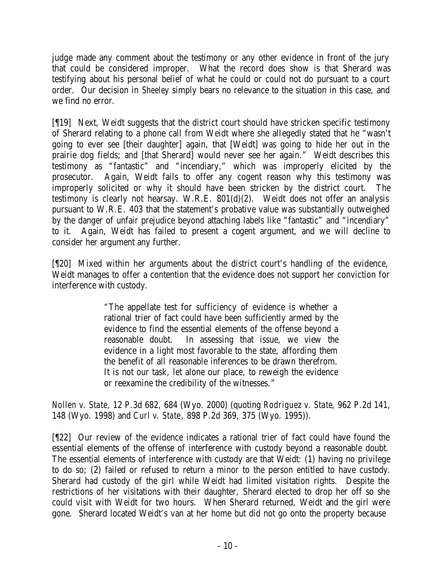judge made any comment about the testimony or any other evidence in front of the jury that could be considered improper. What the record does show is that Sherard was testifying about his personal belief of what he could or could not do pursuant to a court order. Our decision in *Sheeley* simply bears no relevance to the situation in this case, and we find no error.

[¶19] Next, Weidt suggests that the district court should have stricken specific testimony of Sherard relating to a phone call from Weidt where she allegedly stated that he "wasn't going to ever see [their daughter] again, that [Weidt] was going to hide her out in the prairie dog fields; and [that Sherard] would never see her again." Weidt describes this testimony as "fantastic" and "incendiary," which was improperly elicited by the prosecutor. Again, Weidt fails to offer any cogent reason why this testimony was improperly solicited or why it should have been stricken by the district court. The testimony is clearly not hearsay. W.R.E. 801(d)(2). Weidt does not offer an analysis pursuant to W.R.E. 403 that the statement's probative value was substantially outweighed by the danger of unfair prejudice beyond attaching labels like "fantastic" and "incendiary" to it. Again, Weidt has failed to present a cogent argument, and we will decline to consider her argument any further.

[¶20] Mixed within her arguments about the district court's handling of the evidence, Weidt manages to offer a contention that the evidence does not support her conviction for interference with custody.

> "The appellate test for sufficiency of evidence is whether a rational trier of fact could have been sufficiently armed by the evidence to find the essential elements of the offense beyond a reasonable doubt. In assessing that issue, we view the evidence in a light most favorable to the state, affording them the benefit of all reasonable inferences to be drawn therefrom. It is not our task, let alone our place, to reweigh the evidence or reexamine the credibility of the witnesses."

*Nollen v. State*, 12 P.3d 682, 684 (Wyo. 2000) (quoting *Rodriguez v. State*, 962 P.2d 141, 148 (Wyo. 1998) and *Curl v. State*, 898 P.2d 369, 375 (Wyo. 1995)).

[¶22] Our review of the evidence indicates a rational trier of fact could have found the essential elements of the offense of interference with custody beyond a reasonable doubt. The essential elements of interference with custody are that Weidt: (1) having no privilege to do so; (2) failed or refused to return a minor to the person entitled to have custody. Sherard had custody of the girl while Weidt had limited visitation rights. Despite the restrictions of her visitations with their daughter, Sherard elected to drop her off so she could visit with Weidt for two hours. When Sherard returned, Weidt and the girl were gone. Sherard located Weidt's van at her home but did not go onto the property because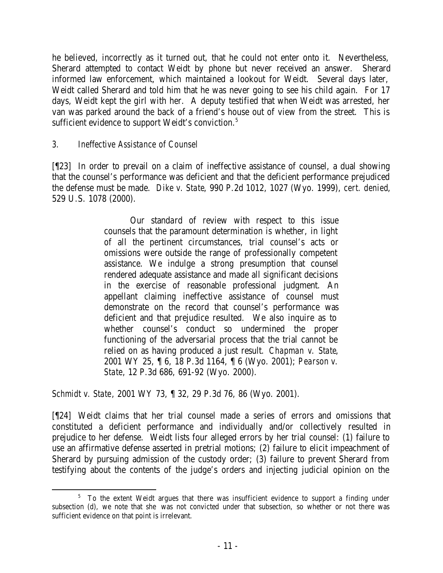he believed, incorrectly as it turned out, that he could not enter onto it. Nevertheless, Sherard attempted to contact Weidt by phone but never received an answer. Sherard informed law enforcement, which maintained a lookout for Weidt. Several days later, Weidt called Sherard and told him that he was never going to see his child again. For 17 days, Weidt kept the girl with her. A deputy testified that when Weidt was arrested, her van was parked around the back of a friend's house out of view from the street. This is sufficient evidence to support Weidt's conviction.<sup>5</sup>

# *3. Ineffective Assistance of Counsel*

[¶23] In order to prevail on a claim of ineffective assistance of counsel, a dual showing that the counsel's performance was deficient and that the deficient performance prejudiced the defense must be made. *Dike v. State*, 990 P.2d 1012, 1027 (Wyo. 1999), *cert. denied*, 529 U.S. 1078 (2000).

> Our standard of review with respect to this issue counsels that the paramount determination is whether, in light of all the pertinent circumstances, trial counsel's acts or omissions were outside the range of professionally competent assistance. We indulge a strong presumption that counsel rendered adequate assistance and made all significant decisions in the exercise of reasonable professional judgment. An appellant claiming ineffective assistance of counsel must demonstrate on the record that counsel's performance was deficient and that prejudice resulted. We also inquire as to whether counsel's conduct so undermined the proper functioning of the adversarial process that the trial cannot be relied on as having produced a just result. *Chapman v. State*, 2001 WY 25, ¶ 6, 18 P.3d 1164, ¶ 6 (Wyo. 2001); *Pearson v. State*, 12 P.3d 686, 691-92 (Wyo. 2000).

*Schmidt v. State*, 2001 WY 73, ¶ 32, 29 P.3d 76, 86 (Wyo. 2001).

[¶24] Weidt claims that her trial counsel made a series of errors and omissions that constituted a deficient performance and individually and/or collectively resulted in prejudice to her defense. Weidt lists four alleged errors by her trial counsel: (1) failure to use an affirmative defense asserted in pretrial motions; (2) failure to elicit impeachment of Sherard by pursuing admission of the custody order; (3) failure to prevent Sherard from testifying about the contents of the judge's orders and injecting judicial opinion on the

 <sup>5</sup> To the extent Weidt argues that there was insufficient evidence to support a finding under subsection (d), we note that she was not convicted under that subsection, so whether or not there was sufficient evidence on that point is irrelevant.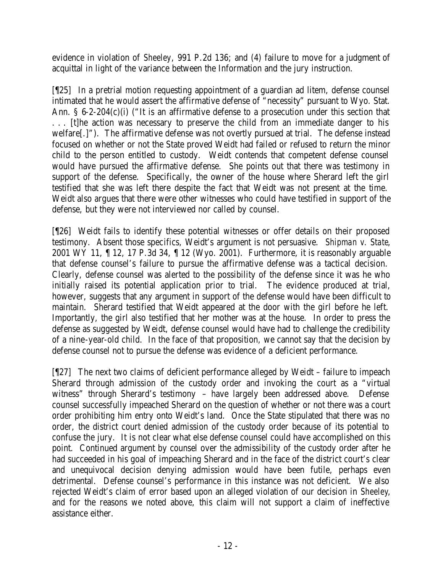evidence in violation of *Sheeley*, 991 P.2d 136; and (4) failure to move for a judgment of acquittal in light of the variance between the Information and the jury instruction.

[¶25] In a pretrial motion requesting appointment of a guardian ad litem, defense counsel intimated that he would assert the affirmative defense of "necessity" pursuant to Wyo. Stat. Ann. § 6-2-204(c)(i) ("It is an affirmative defense to a prosecution under this section that . . . [t]he action was necessary to preserve the child from an immediate danger to his welfare[.]"). The affirmative defense was not overtly pursued at trial. The defense instead focused on whether or not the State proved Weidt had failed or refused to return the minor child to the person entitled to custody. Weidt contends that competent defense counsel would have pursued the affirmative defense. She points out that there was testimony in support of the defense. Specifically, the owner of the house where Sherard left the girl testified that she was left there despite the fact that Weidt was not present at the time. Weidt also argues that there were other witnesses who could have testified in support of the defense, but they were not interviewed nor called by counsel.

[¶26] Weidt fails to identify these potential witnesses or offer details on their proposed testimony. Absent those specifics, Weidt's argument is not persuasive. *Shipman v. State*, 2001 WY 11, ¶ 12, 17 P.3d 34, ¶ 12 (Wyo. 2001). Furthermore, it is reasonably arguable that defense counsel's failure to pursue the affirmative defense was a tactical decision. Clearly, defense counsel was alerted to the possibility of the defense since it was he who initially raised its potential application prior to trial. The evidence produced at trial, however, suggests that any argument in support of the defense would have been difficult to maintain. Sherard testified that Weidt appeared at the door with the girl before he left. Importantly, the girl also testified that her mother was at the house. In order to press the defense as suggested by Weidt, defense counsel would have had to challenge the credibility of a nine-year-old child. In the face of that proposition, we cannot say that the decision by defense counsel not to pursue the defense was evidence of a deficient performance.

[¶27] The next two claims of deficient performance alleged by Weidt – failure to impeach Sherard through admission of the custody order and invoking the court as a "virtual witness" through Sherard's testimony – have largely been addressed above. Defense counsel successfully impeached Sherard on the question of whether or not there was a court order prohibiting him entry onto Weidt's land. Once the State stipulated that there was no order, the district court denied admission of the custody order because of its potential to confuse the jury. It is not clear what else defense counsel could have accomplished on this point. Continued argument by counsel over the admissibility of the custody order after he had succeeded in his goal of impeaching Sherard and in the face of the district court's clear and unequivocal decision denying admission would have been futile, perhaps even detrimental. Defense counsel's performance in this instance was not deficient. We also rejected Weidt's claim of error based upon an alleged violation of our decision in *Sheeley*, and for the reasons we noted above, this claim will not support a claim of ineffective assistance either.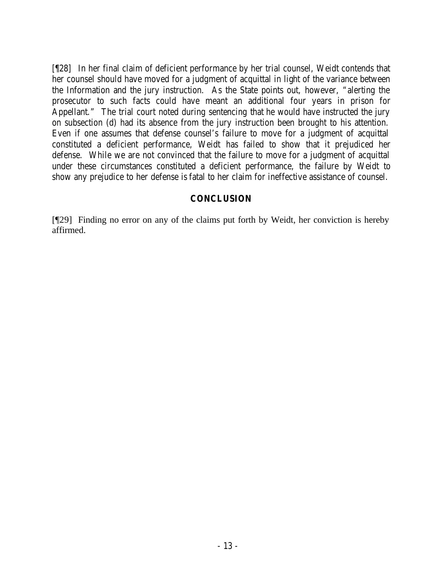[¶28] In her final claim of deficient performance by her trial counsel, Weidt contends that her counsel should have moved for a judgment of acquittal in light of the variance between the Information and the jury instruction. As the State points out, however, "alerting the prosecutor to such facts could have meant an additional four years in prison for Appellant." The trial court noted during sentencing that he would have instructed the jury on subsection (d) had its absence from the jury instruction been brought to his attention. Even if one assumes that defense counsel's failure to move for a judgment of acquittal constituted a deficient performance, Weidt has failed to show that it prejudiced her defense. While we are not convinced that the failure to move for a judgment of acquittal under these circumstances constituted a deficient performance, the failure by Weidt to show any prejudice to her defense is fatal to her claim for ineffective assistance of counsel.

## **CONCLUSION**

[¶29] Finding no error on any of the claims put forth by Weidt, her conviction is hereby affirmed.